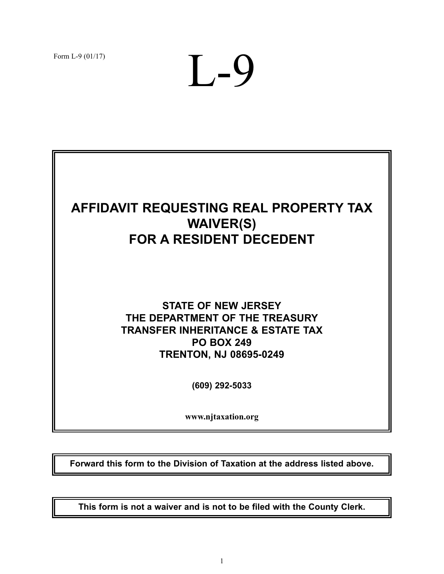Form L-9 (01/17)

L-9



**Forward this form to the Division of Taxation at the address listed above.**

**This form is not a waiver and is not to be filed with the County Clerk.**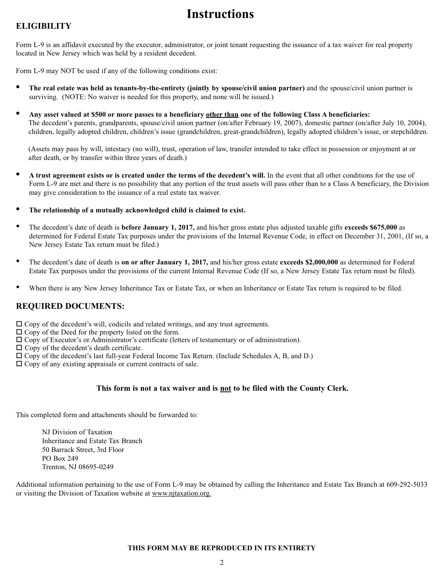# **Instructions**

## **ELIGIBILITY**

Form L-9 is an affidavit executed by the executor, administrator, or joint tenant requesting the issuance of a tax waiver for real property located in New Jersey which was held by a resident decedent.

Form L-9 may NOT be used if any of the following conditions exist:

- **• The real estate was held as tenants-by-the-entirety (jointly by spouse/civil union partner)** and the spouse/civil union partner is surviving. (NOTE: No waiver is needed for this property, and none will be issued.)
- **• Any asset valued at \$500 or more passes to a beneficiary other than one of the following Class A beneficiaries:** The decedent's parents, grandparents, spouse/civil union partner (on/after February 19, 2007), domestic partner (on/after July 10, 2004), children, legally adopted children, children's issue (grandchildren, great-grandchildren), legally adopted children's issue, or stepchildren.

(Assets may pass by will, intestacy (no will), trust, operation of law, transfer intended to take effect in possession or enjoyment at or after death, or by transfer within three years of death.)

- **• A trust agreement exists or is created under the terms of the decedent's will.** In the event that all other conditions for the use of Form L-9 are met and there is no possibility that any portion of the trust assets will pass other than to a Class A beneficiary, the Division may give consideration to the issuance of a real estate tax waiver.
- **• The relationship of a mutually acknowledged child is claimed to exist.**
- The decedent's date of death is **before January 1, 2017,** and his/her gross estate plus adjusted taxable gifts **exceeds \$675,000** as determined for Federal Estate Tax purposes under the provisions of the Internal Revenue Code, in effect on December 31, 2001, (If so, a New Jersey Estate Tax return must be filed.)
- The decedent's date of death is **on or after January 1, 2017,** and his/her gross estate **exceeds \$2,000,000** as determined for Federal Estate Tax purposes under the provisions of the current Internal Revenue Code (If so, a New Jersey Estate Tax return must be filed).
- When there is any New Jersey Inheritance Tax or Estate Tax, or when an Inheritance or Estate Tax return is required to be filed.

## **REQUIRED DOCUMENTS:**

 $\Box$  Copy of the decedent's will, codicils and related writings, and any trust agreements.

- $\Box$  Copy of the Deed for the property listed on the form.
- $\Box$  Copy of Executor's or Administrator's certificate (letters of testamentary or of administration).
- $\Box$  Copy of the decedent's death certificate.
- o Copy of the decedent's last full-year Federal Income Tax Return. (Include Schedules A, B, and D.)
- $\Box$  Copy of any existing appraisals or current contracts of sale.

## **This form is not a tax waiver and is not to be filed with the County Clerk.**

This completed form and attachments should be forwarded to:

NJ Division of Taxation Inheritance and Estate Tax Branch 50 Barrack Street, 3rd Floor PO Box 249 Trenton, NJ 08695-0249

Additional information pertaining to the use of Form L-9 may be obtained by calling the Inheritance and Estate Tax Branch at 609-292-5033 or visiting the Division of Taxation website at www.njtaxation.org.

#### **THIS FORM MAY BE REPRODUCED IN ITS ENTIRETY**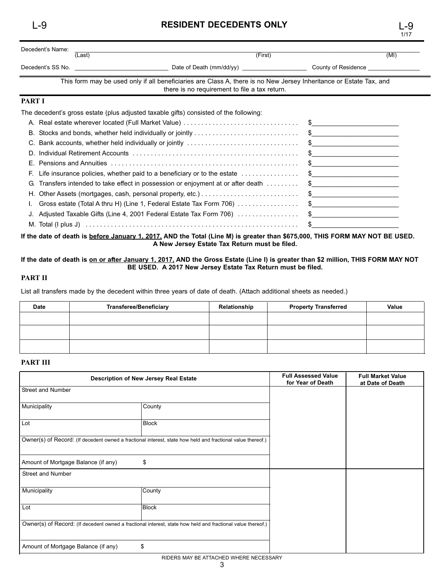1/17

| Decedent's Name: | (First)<br>(Last)                                                                                                                                                                                                                                                                |                                                                            |  |  |
|------------------|----------------------------------------------------------------------------------------------------------------------------------------------------------------------------------------------------------------------------------------------------------------------------------|----------------------------------------------------------------------------|--|--|
|                  | Decedent's SS No. The contract of the contract of the contract of the contract of the contract of the contract of the contract of the contract of the contract of the contract of the contract of the contract of the contract<br>Date of Death (mm/dd/yy) _____________________ | County of Residence <b>Example 20</b>                                      |  |  |
|                  | This form may be used only if all beneficiaries are Class A, there is no New Jersey Inheritance or Estate Tax, and<br>there is no requirement to file a tax return.                                                                                                              |                                                                            |  |  |
| <b>PART I</b>    |                                                                                                                                                                                                                                                                                  |                                                                            |  |  |
|                  | The decedent's gross estate (plus adjusted taxable gifts) consisted of the following:                                                                                                                                                                                            |                                                                            |  |  |
|                  |                                                                                                                                                                                                                                                                                  |                                                                            |  |  |
| В.               |                                                                                                                                                                                                                                                                                  |                                                                            |  |  |
|                  |                                                                                                                                                                                                                                                                                  |                                                                            |  |  |
| D.               |                                                                                                                                                                                                                                                                                  | $\sim$                                                                     |  |  |
| Е.               |                                                                                                                                                                                                                                                                                  | the control of the control of the control of the control of the control of |  |  |
| F.               | Life insurance policies, whether paid to a beneficiary or to the estate $\ldots \ldots \ldots \ldots$                                                                                                                                                                            | $\frac{1}{2}$                                                              |  |  |
| G.               | Transfers intended to take effect in possession or enjoyment at or after death                                                                                                                                                                                                   |                                                                            |  |  |
| Η.               |                                                                                                                                                                                                                                                                                  | $\frac{1}{2}$                                                              |  |  |
|                  | Gross estate (Total A thru H) (Line 1, Federal Estate Tax Form 706) \$                                                                                                                                                                                                           |                                                                            |  |  |
|                  | J. Adjusted Taxable Gifts (Line 4, 2001 Federal Estate Tax Form 706) \$                                                                                                                                                                                                          |                                                                            |  |  |

#### **If the date of death is before January 1, 2017, AND the Total (Line M) is greater than \$675,000, THIS FORM MAY NOT BE USED. A New Jersey Estate Tax Return must be filed.**

#### If the date of death is on or after January 1, 2017, AND the Gross Estate (Line I) is greater than \$2 million, THIS FORM MAY NOT **BE USED. A 2017 New Jersey Estate Tax Return must be filed.**

### **PART II**

List all transfers made by the decedent within three years of date of death. (Attach additional sheets as needed.)

M. Total (I plus J) . . . . . . . . . . . . . . . . . . . . . . . . . . . . . . . . . . . . . . . . . . . . . . . . . . . . . . . . . . . \$\_\_\_\_\_\_\_\_\_\_\_\_\_\_\_\_\_\_\_\_\_\_\_\_

| <b>Date</b> | <b>Transferee/Beneficiary</b> | Relationship | <b>Property Transferred</b> | Value |
|-------------|-------------------------------|--------------|-----------------------------|-------|
|             |                               |              |                             |       |
|             |                               |              |                             |       |
|             |                               |              |                             |       |

#### **PART III**

| <b>Description of New Jersey Real Estate</b>                                                                |                                                                                                             | <b>Full Assessed Value</b><br>for Year of Death | <b>Full Market Value</b><br>at Date of Death |
|-------------------------------------------------------------------------------------------------------------|-------------------------------------------------------------------------------------------------------------|-------------------------------------------------|----------------------------------------------|
| Street and Number                                                                                           |                                                                                                             |                                                 |                                              |
| Municipality                                                                                                | County                                                                                                      |                                                 |                                              |
| Lot                                                                                                         | <b>Block</b>                                                                                                |                                                 |                                              |
|                                                                                                             | Owner(s) of Record: (If decedent owned a fractional interest, state how held and fractional value thereof.) |                                                 |                                              |
| Amount of Mortgage Balance (if any)                                                                         | \$                                                                                                          |                                                 |                                              |
| Street and Number                                                                                           |                                                                                                             |                                                 |                                              |
| Municipality                                                                                                | County                                                                                                      |                                                 |                                              |
| Lot                                                                                                         | <b>Block</b>                                                                                                |                                                 |                                              |
| Owner(s) of Record: (If decedent owned a fractional interest, state how held and fractional value thereof.) |                                                                                                             |                                                 |                                              |
| Amount of Mortgage Balance (if any)                                                                         | \$                                                                                                          |                                                 |                                              |